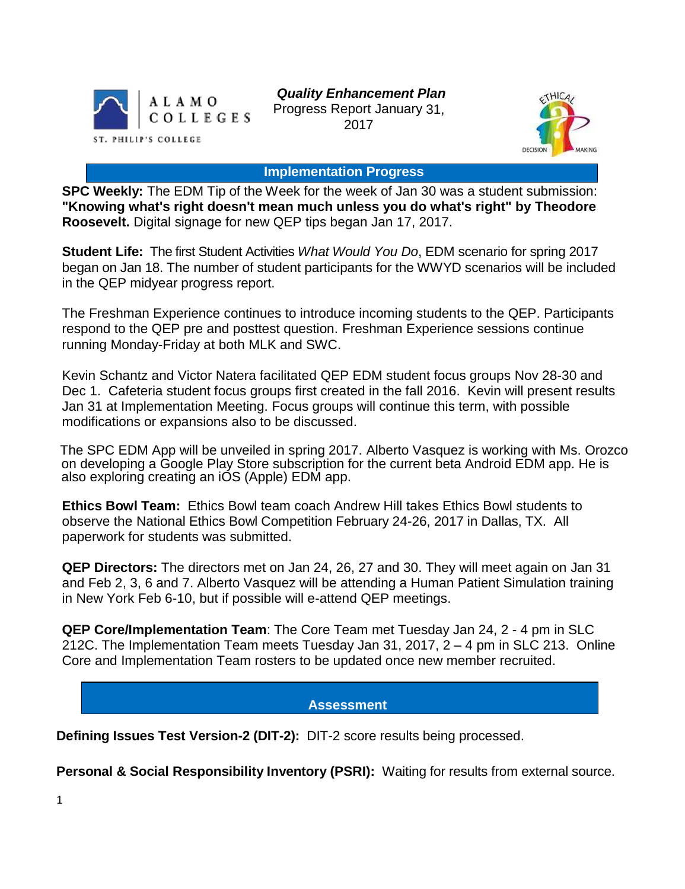

*Quality Enhancement Plan* Progress Report January 31, 2017



#### **Implementation Progress**

**SPC Weekly:** The EDM Tip of the Week for the week of Jan 30 was a student submission: **"Knowing what's right doesn't mean much unless you do what's right" by Theodore Roosevelt.** Digital signage for new QEP tips began Jan 17, 2017.

**Student Life:** The first Student Activities *What Would You Do*, EDM scenario for spring 2017 began on Jan 18. The number of student participants for the WWYD scenarios will be included in the QEP midyear progress report.

The Freshman Experience continues to introduce incoming students to the QEP. Participants respond to the QEP pre and posttest question. Freshman Experience sessions continue running Monday-Friday at both MLK and SWC.

Kevin Schantz and Victor Natera facilitated QEP EDM student focus groups Nov 28-30 and Dec 1. Cafeteria student focus groups first created in the fall 2016. Kevin will present results Jan 31 at Implementation Meeting. Focus groups will continue this term, with possible modifications or expansions also to be discussed.

The SPC EDM App will be unveiled in spring 2017. Alberto Vasquez is working with Ms. Orozco on developing a Google Play Store subscription for the current beta Android EDM app. He is also exploring creating an iOS (Apple) EDM app.

**Ethics Bowl Team:** Ethics Bowl team coach Andrew Hill takes Ethics Bowl students to observe the National Ethics Bowl Competition February 24-26, 2017 in Dallas, TX. All paperwork for students was submitted.

**QEP Directors:** The directors met on Jan 24, 26, 27 and 30. They will meet again on Jan 31 and Feb 2, 3, 6 and 7. Alberto Vasquez will be attending a Human Patient Simulation training in New York Feb 6-10, but if possible will e-attend QEP meetings.

**QEP Core/Implementation Team**: The Core Team met Tuesday Jan 24, 2 - 4 pm in SLC 212C. The Implementation Team meets Tuesday Jan 31, 2017, 2 – 4 pm in SLC 213. Online Core and Implementation Team rosters to be updated once new member recruited.

## **Assessment**

**Defining Issues Test Version-2 (DIT-2):** DIT-2 score results being processed.

**Personal & Social Responsibility Inventory (PSRI):** Waiting for results from external source.